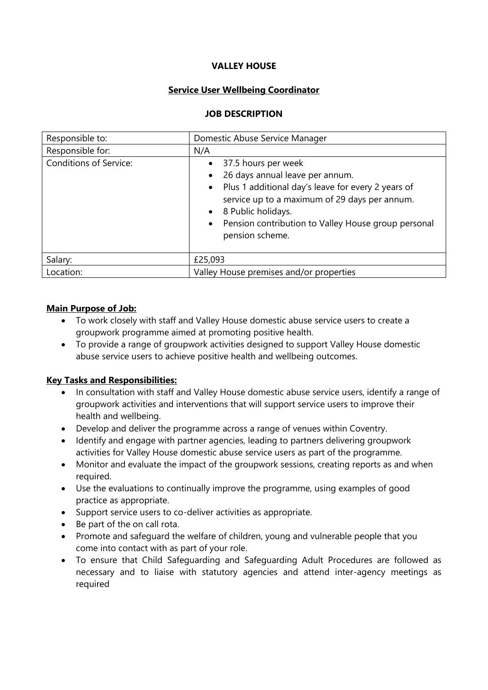## **VALLEY HOUSE**

## **Service User Wellbeing Coordinator**

#### **JOB DESCRIPTION**

| Responsible to:               | Domestic Abuse Service Manager                                                                                                                                                                                                                                |
|-------------------------------|---------------------------------------------------------------------------------------------------------------------------------------------------------------------------------------------------------------------------------------------------------------|
| Responsible for:              | N/A                                                                                                                                                                                                                                                           |
| <b>Conditions of Service:</b> | 37.5 hours per week<br>26 days annual leave per annum.<br>Plus 1 additional day's leave for every 2 years of<br>service up to a maximum of 29 days per annum.<br>8 Public holidays.<br>Pension contribution to Valley House group personal<br>pension scheme. |
| Salary:                       | £25,093                                                                                                                                                                                                                                                       |
| Location:                     | Valley House premises and/or properties                                                                                                                                                                                                                       |

# **Main Purpose of Job:**

- To work closely with staff and Valley House domestic abuse service users to create a groupwork programme aimed at promoting positive health.
- To provide a range of groupwork activities designed to support Valley House domestic abuse service users to achieve positive health and wellbeing outcomes.

# **Key Tasks and Responsibilities:**

- In consultation with staff and Valley House domestic abuse service users, identify a range of groupwork activities and interventions that will support service users to improve their health and wellbeing.
- Develop and deliver the programme across a range of venues within Coventry.
- Identify and engage with partner agencies, leading to partners delivering groupwork activities for Valley House domestic abuse service users as part of the programme.
- Monitor and evaluate the impact of the groupwork sessions, creating reports as and when required.
- Use the evaluations to continually improve the programme, using examples of good practice as appropriate.
- Support service users to co-deliver activities as appropriate.
- Be part of the on call rota.
- Promote and safeguard the welfare of children, young and vulnerable people that you come into contact with as part of your role.
- To ensure that Child Safeguarding and Safeguarding Adult Procedures are followed as necessary and to liaise with statutory agencies and attend inter-agency meetings as required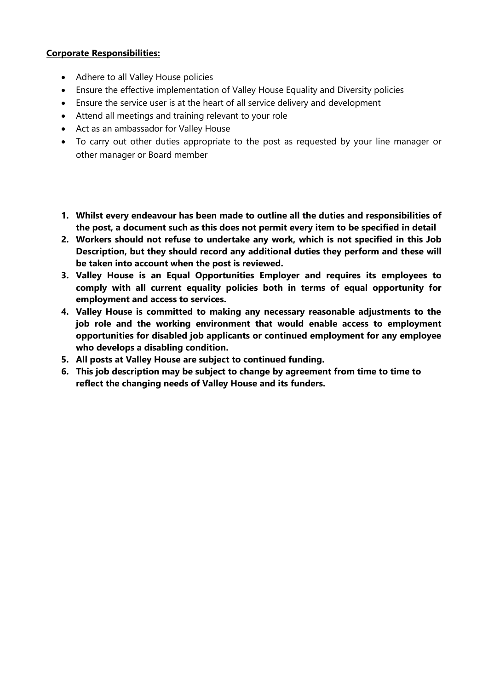# **Corporate Responsibilities:**

- Adhere to all Valley House policies
- Ensure the effective implementation of Valley House Equality and Diversity policies
- Ensure the service user is at the heart of all service delivery and development
- Attend all meetings and training relevant to your role
- Act as an ambassador for Valley House
- To carry out other duties appropriate to the post as requested by your line manager or other manager or Board member
- **1. Whilst every endeavour has been made to outline all the duties and responsibilities of the post, a document such as this does not permit every item to be specified in detail**
- **2. Workers should not refuse to undertake any work, which is not specified in this Job Description, but they should record any additional duties they perform and these will be taken into account when the post is reviewed.**
- **3. Valley House is an Equal Opportunities Employer and requires its employees to comply with all current equality policies both in terms of equal opportunity for employment and access to services.**
- **4. Valley House is committed to making any necessary reasonable adjustments to the job role and the working environment that would enable access to employment opportunities for disabled job applicants or continued employment for any employee who develops a disabling condition.**
- **5. All posts at Valley House are subject to continued funding.**
- **6. This job description may be subject to change by agreement from time to time to reflect the changing needs of Valley House and its funders.**